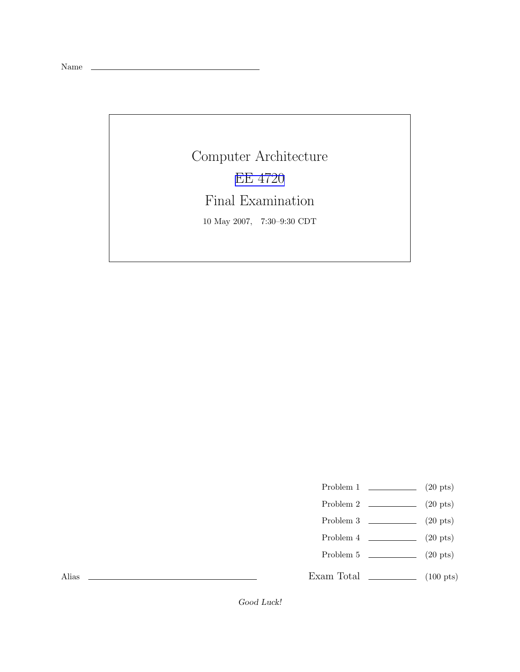Name

Computer Architecture EE [4720](http://www.ece.lsu.edu/ee4720/) Final Examination 10 May 2007, 7:30–9:30 CDT

Problem 1  $\qquad \qquad (20 \text{ pts})$ 

- Problem 2  $\qquad \qquad$  (20 pts)
- Problem 3  $\qquad \qquad (20 \text{ pts})$
- Problem 4  $\qquad \qquad$  (20 pts)
- Problem 5  $\sqrt{20 \text{ pts}}$

Exam Total  $\qquad \qquad$  (100 pts)

Alias

Good Luck!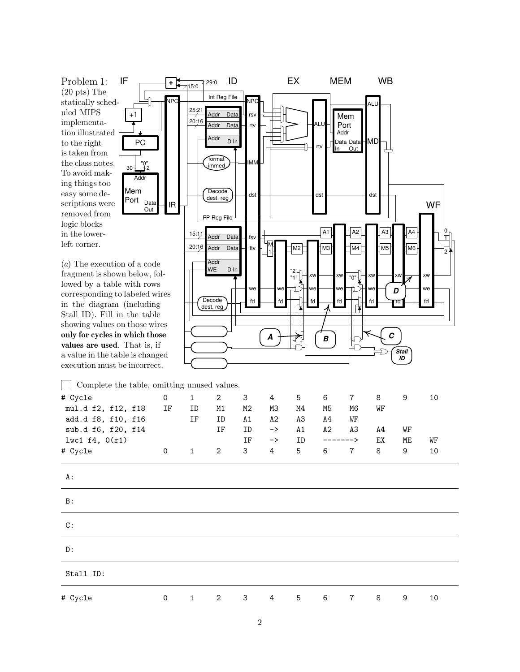Problem 1: (20 pts) The statically scheduled MIPS implementation illustrated to the right is taken from the class notes. To avoid making things too easy some descriptions were removed from logic blocks in the lowerleft corner.

+1

Mem Port

PC

Addr

30 2 "0"

Data Out

(a) The execution of a code fragment is shown below, followed by a table with rows corresponding to labeled wires in the diagram (including Stall ID). Fill in the table showing values on those wires only for cycles in which those values are used. That is, if a value in the table is changed execution must be incorrect.



 $\vert \ \ \vert$ Complete the table, omitting unused values. # Cycle 0 1 2 3 4 5 6 7 8 9 10 mul.d f2, f12, f18 IF ID M1 M2 M3 M4 M5 M6 WF add.d f8, f10, f16 IF ID A1 A2 A3 A4 WF sub.d f6, f20, f14 IF ID -> A1 A2 A3 A4 WF lwc1 f4, 0(r1) IF -> ID -------> EX ME WF # Cycle 0 1 2 3 4 5 6 7 8 9 10

| A :       |             |              |                |                         |                 |                 |                 |                 |                |   |    |  |
|-----------|-------------|--------------|----------------|-------------------------|-----------------|-----------------|-----------------|-----------------|----------------|---|----|--|
| B:        |             |              |                |                         |                 |                 |                 |                 |                |   |    |  |
| C:        |             |              |                |                         |                 |                 |                 |                 |                |   |    |  |
| D:        |             |              |                |                         |                 |                 |                 |                 |                |   |    |  |
| Stall ID: |             |              |                |                         |                 |                 |                 |                 |                |   |    |  |
| # Cycle   | $\mathbf 0$ | $\mathbf{1}$ | $\overline{2}$ | $\overline{\mathbf{3}}$ | $4\overline{ }$ | $5\overline{)}$ | $6\overline{6}$ | $7\overline{7}$ | 8 <sup>8</sup> | 9 | 10 |  |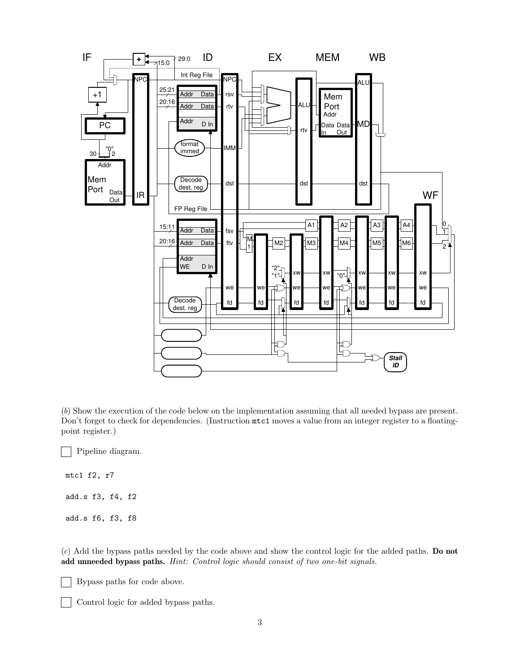

(b) Show the execution of the code below on the implementation assuming that all needed bypass are present. Don't forget to check for dependencies. (Instruction mtc1 moves a value from an integer register to a floatingpoint register.)

 $\mathcal{L}$ Pipeline diagram.

mtc1 f2, r7 add.s f3, f4, f2

add.s f6, f3, f8

(c) Add the bypass paths needed by the code above and show the control logic for the added paths. Do not add unneeded bypass paths. Hint: Control logic should consist of two one-bit signals.

Bypass paths for code above.

Control logic for added bypass paths.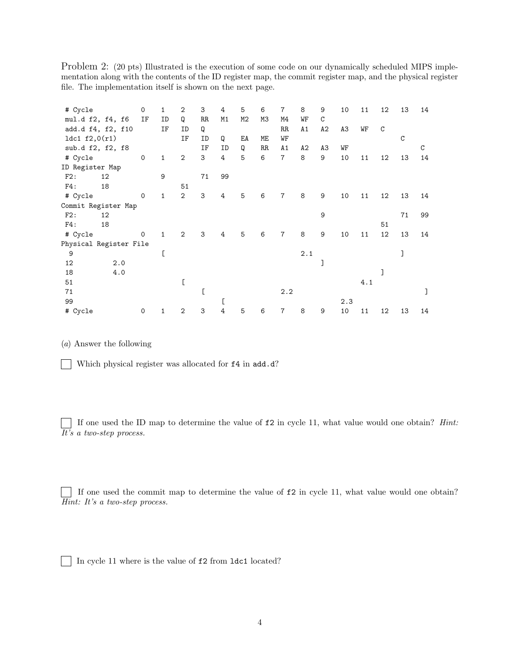Problem 2: (20 pts) Illustrated is the execution of some code on our dynamically scheduled MIPS implementation along with the contents of the ID register map, the commit register map, and the physical register file. The implementation itself is shown on the next page.

|                        |     | 0            | $\mathbf{1}$ | $\overline{2}$ | 3  | 4              | 5              | 6  | $\overline{7}$ | 8   | 9  |     |     |             |               |    |
|------------------------|-----|--------------|--------------|----------------|----|----------------|----------------|----|----------------|-----|----|-----|-----|-------------|---------------|----|
| # Cycle                |     |              |              |                |    |                |                |    |                |     |    | 10  | 11  | 12          | 13            | 14 |
| mul.d f2, f4, f6       |     | IF           | ID           | Q              | RR | M1             | M <sub>2</sub> | M3 | M4             | WF  | C  |     |     |             |               |    |
| add.d f4, f2, f10      |     |              | ΙF           | ID             | Q  |                |                |    | RR             | A1  | A2 | A3  | WF  | $\mathsf C$ |               |    |
| 1dc1 $f2,0(r1)$        |     |              |              | ΙF             | ID | Q              | EA             | МE | WF             |     |    |     |     |             | $\mathcal{C}$ |    |
| sub.d f2, f2, f8       |     |              |              |                | IF | ID             | Q              | RR | A1             | A2  | A3 | WF  |     |             |               | C  |
| # Cycle                |     | $\mathbf 0$  | $\mathbf{1}$ | $\mathbf{2}$   | 3  | 4              | 5              | 6  | $\overline{7}$ | 8   | 9  | 10  | 11  | 12          | 13            | 14 |
| ID Register Map        |     |              |              |                |    |                |                |    |                |     |    |     |     |             |               |    |
| F2:                    | 12  |              | 9            |                | 71 | 99             |                |    |                |     |    |     |     |             |               |    |
| F4:                    | 18  |              |              | 51             |    |                |                |    |                |     |    |     |     |             |               |    |
| # Cycle                |     | $\mathsf{O}$ | $\mathbf{1}$ | $\overline{2}$ | 3  | 4              | 5              | 6  | $\overline{7}$ | 8   | 9  | 10  | 11  | 12          | 13            | 14 |
| Commit Register Map    |     |              |              |                |    |                |                |    |                |     |    |     |     |             |               |    |
| F2:                    | 12  |              |              |                |    |                |                |    |                |     | 9  |     |     |             | 71            | 99 |
| F4:                    | 18  |              |              |                |    |                |                |    |                |     |    |     |     | 51          |               |    |
| # Cycle                |     | $\mathbf 0$  | $\mathbf{1}$ | $\overline{2}$ | 3  | $\overline{4}$ | 5              | 6  | $\overline{7}$ | 8   | 9  | 10  | 11  | 12          | 13            | 14 |
| Physical Register File |     |              |              |                |    |                |                |    |                |     |    |     |     |             |               |    |
| 9                      |     |              | C            |                |    |                |                |    |                | 2.1 |    |     |     |             | I             |    |
| 12                     | 2.0 |              |              |                |    |                |                |    |                |     | ٦  |     |     |             |               |    |
| 18                     | 4.0 |              |              |                |    |                |                |    |                |     |    |     |     |             |               |    |
| 51                     |     |              |              |                |    |                |                |    |                |     |    |     | 4.1 |             |               |    |
| 71                     |     |              |              |                |    |                |                |    | 2.2            |     |    |     |     |             |               |    |
| 99                     |     |              |              |                |    | D              |                |    |                |     |    | 2.3 |     |             |               |    |
| # Cycle                |     | 0            | 1            | $\overline{2}$ | 3  | 4              | 5              | 6  | $\overline{7}$ | 8   | 9  | 10  | 11  | 12          | 13            | 14 |

(a) Answer the following

Which physical register was allocated for f4 in add.d?

If one used the ID map to determine the value of  $f2$  in cycle 11, what value would one obtain? *Hint*: It's a two-step process.

If one used the commit map to determine the value of f2 in cycle 11, what value would one obtain? Hint: It's a two-step process.

In cycle 11 where is the value of f2 from 1dc1 located?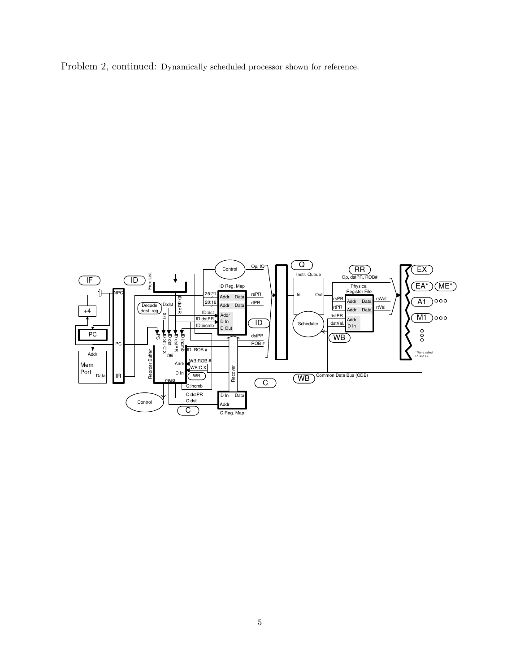Problem 2, continued: Dynamically scheduled processor shown for reference.

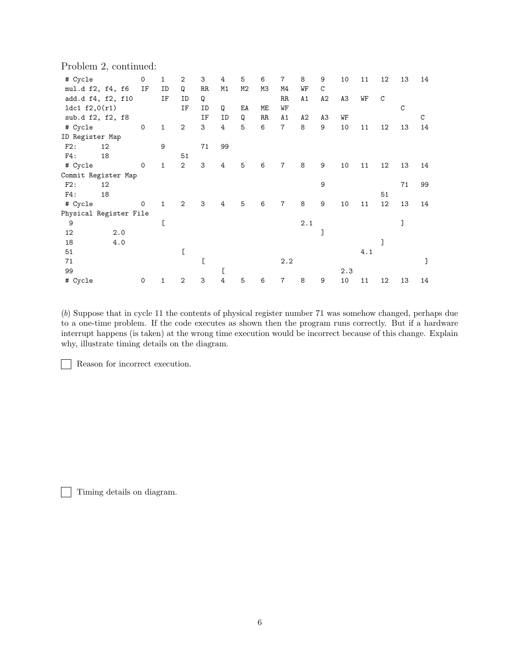|  |  | Problem 2, continued: |
|--|--|-----------------------|
|--|--|-----------------------|

| # Cycle                |     | $\mathsf{O}$ | $\mathbf{1}$ | $\overline{2}$ | 3           | 4  | 5  | 6  | $\overline{7}$ | 8   | 9  | 10  | 11  | 12          | 13          | 14 |
|------------------------|-----|--------------|--------------|----------------|-------------|----|----|----|----------------|-----|----|-----|-----|-------------|-------------|----|
| mul.d f2, f4, f6       |     | IF           | ID           | Q              | RR.         | M1 | M2 | МЗ | M4             | WF  | C  |     |     |             |             |    |
| add.d f4, f2, f10      |     |              | ΙF           | ID             | Q           |    |    |    | $_{\rm RR}$    | A1  | A2 | A3  | WF  | $\mathsf C$ |             |    |
| 1dc1 $f2,0(r1)$        |     |              |              | IF             | ID          | Q  | EA | ME | WF             |     |    |     |     |             | $\mathbf C$ |    |
| sub.d f2, f2, f8       |     |              |              |                | ΙF          | ID | Q  | RR | A1             | A2  | A3 | WF  |     |             |             | C  |
| # Cycle                |     | $\mathbf 0$  | $\mathbf{1}$ | $\mathbf{2}$   | 3           | 4  | 5  | 6  | $\overline{7}$ | 8   | 9  | 10  | 11  | 12          | 13          | 14 |
| ID Register Map        |     |              |              |                |             |    |    |    |                |     |    |     |     |             |             |    |
| F2:                    | 12  |              | 9            |                | 71          | 99 |    |    |                |     |    |     |     |             |             |    |
| F4:                    | 18  |              |              | 51             |             |    |    |    |                |     |    |     |     |             |             |    |
| # Cycle                |     | $\mathsf{O}$ | $\mathbf{1}$ | $\overline{2}$ | $\mathsf 3$ | 4  | 5  | 6  | $\overline{7}$ | 8   | 9  | 10  | 11  | 12          | 13          | 14 |
| Commit Register Map    |     |              |              |                |             |    |    |    |                |     |    |     |     |             |             |    |
| F2:                    | 12  |              |              |                |             |    |    |    |                |     | 9  |     |     |             | 71          | 99 |
| F4:                    | 18  |              |              |                |             |    |    |    |                |     |    |     |     | 51          |             |    |
| # Cycle                |     | $\mathbf 0$  | $\mathbf{1}$ | 2              | 3           | 4  | 5  | 6  | $\overline{7}$ | 8   | 9  | 10  | 11  | 12          | 13          | 14 |
| Physical Register File |     |              |              |                |             |    |    |    |                |     |    |     |     |             |             |    |
| 9                      |     |              | D            |                |             |    |    |    |                | 2.1 |    |     |     |             |             |    |
| 12                     | 2.0 |              |              |                |             |    |    |    |                |     | ٦  |     |     |             |             |    |
| 18                     | 4.0 |              |              |                |             |    |    |    |                |     |    |     |     |             |             |    |
| 51                     |     |              |              | D              |             |    |    |    |                |     |    |     | 4.1 |             |             |    |
| 71                     |     |              |              |                | ſ           |    |    |    | 2.2            |     |    |     |     |             |             |    |
| 99                     |     |              |              |                |             | c  |    |    |                |     |    | 2.3 |     |             |             |    |
| # Cycle                |     | 0            | 1            | $\overline{2}$ | 3           | 4  | 5  | 6  | $\overline{7}$ | 8   | 9  | 10  | 11  | 12          | 13          | 14 |

(b) Suppose that in cycle 11 the contents of physical register number 71 was somehow changed, perhaps due to a one-time problem. If the code executes as shown then the program runs correctly. But if a hardware interrupt happens (is taken) at the wrong time execution would be incorrect because of this change. Explain why, illustrate timing details on the diagram.

Reason for incorrect execution.  $\sim$ 

Timing details on diagram.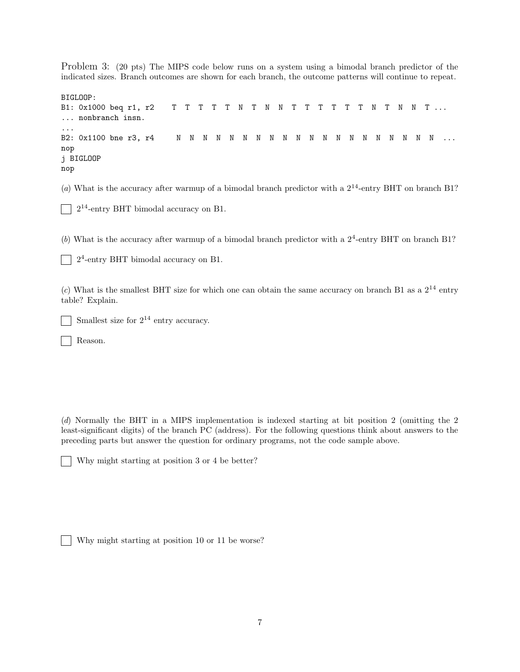Problem 3: (20 pts) The MIPS code below runs on a system using a bimodal branch predictor of the indicated sizes. Branch outcomes are shown for each branch, the outcome patterns will continue to repeat.

```
BIGLOOP:
B1: 0x1000 beq r1, r2 T T T T T N T N N T T T T T T N T N N T ...
... nonbranch insn.
...
B2: 0x1100 bne r3, r4 N N N N N N N N N N N N N N N N N N N N ...
nop
j BIGLOOP
nop
```
(a) What is the accuracy after warmup of a bimodal branch predictor with a  $2^{14}$ -entry BHT on branch B1?

|  | $\Box$ 2 <sup>14</sup> -entry BHT bimodal accuracy on B1. |  |  |  |  |  |
|--|-----------------------------------------------------------|--|--|--|--|--|
|--|-----------------------------------------------------------|--|--|--|--|--|

(b) What is the accuracy after warmup of a bimodal branch predictor with a  $2^4$ -entry BHT on branch B1?

2 4 -entry BHT bimodal accuracy on B1.  $\mathbf{I}$ 

(c) What is the smallest BHT size for which one can obtain the same accuracy on branch B1 as a  $2^{14}$  entry table? Explain.

Smallest size for  $2^{14}$  entry accuracy.

Reason.

(d) Normally the BHT in a MIPS implementation is indexed starting at bit position 2 (omitting the 2 least-significant digits) of the branch PC (address). For the following questions think about answers to the preceding parts but answer the question for ordinary programs, not the code sample above.

|  | Why might starting at position 3 or 4 be better? |  |  |  |  |
|--|--------------------------------------------------|--|--|--|--|
|--|--------------------------------------------------|--|--|--|--|

Why might starting at position 10 or 11 be worse?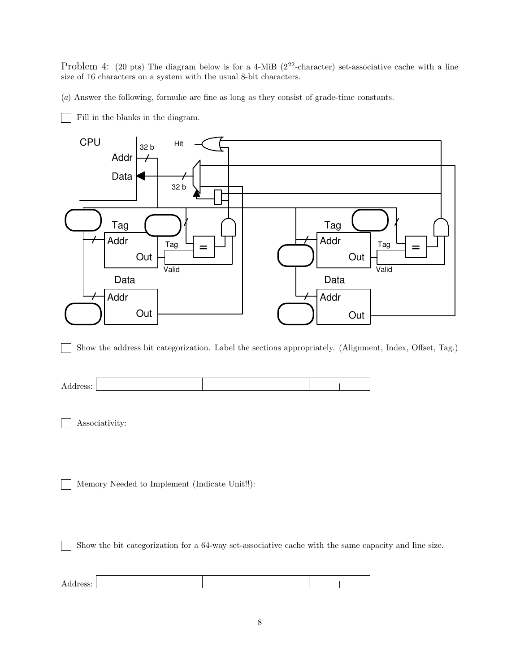Problem 4: (20 pts) The diagram below is for a 4-MiB ( $2^{22}$ -character) set-associative cache with a line size of 16 characters on a system with the usual 8-bit characters.

(a) Answer the following, formulæ are fine as long as they consist of grade-time constants.

Fill in the blanks in the diagram.



Show the address bit categorization. Label the sections appropriately. (Alignment, Index, Offset, Tag.)  $\mathbf{1}$ 

| ⋍<br>. |  |  |
|--------|--|--|
|        |  |  |

Associativity:

Memory Needed to Implement (Indicate Unit!!):

Show the bit categorization for a 64-way set-associative cache with the same capacity and line size.

Address: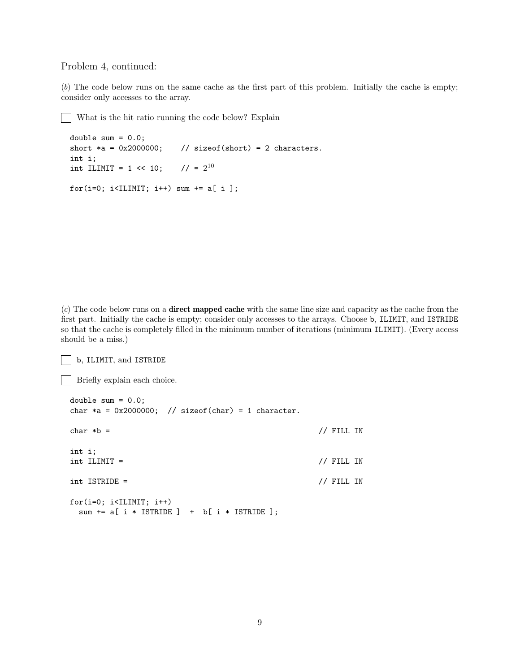## Problem 4, continued:

(b) The code below runs on the same cache as the first part of this problem. Initially the cache is empty; consider only accesses to the array.

What is the hit ratio running the code below? Explain  $\mathbf{I}$ 

```
double sum = 0.0;
short *a = 0x2000000; // sizeof(short) = 2 characters.
int i;
int ILIMIT = 1 \le 10;
                         1/ = 2^{10}for(i=0; i<ILIMIT; i++) sum += a[ i ];
```
 $(c)$  The code below runs on a **direct mapped cache** with the same line size and capacity as the cache from the first part. Initially the cache is empty; consider only accesses to the arrays. Choose b, ILIMIT, and ISTRIDE so that the cache is completely filled in the minimum number of iterations (minimum ILIMIT). (Every access should be a miss.)

b, ILIMIT, and ISTRIDE

```
Briefly explain each choice.
```

```
double sum = 0.0;
char *a = 0x2000000; // sizeof(char) = 1 character.
char *b = // FILL IN
int i;
int ILIMIT = \frac{1}{\sqrt{2}} // FILL IN
int ISTRIDE = // FILL IN
for(i=0; i<ILIMIT; i++)
 sum += a[ i * ISTRIDE ] + b[ i * ISTRIDE ];
```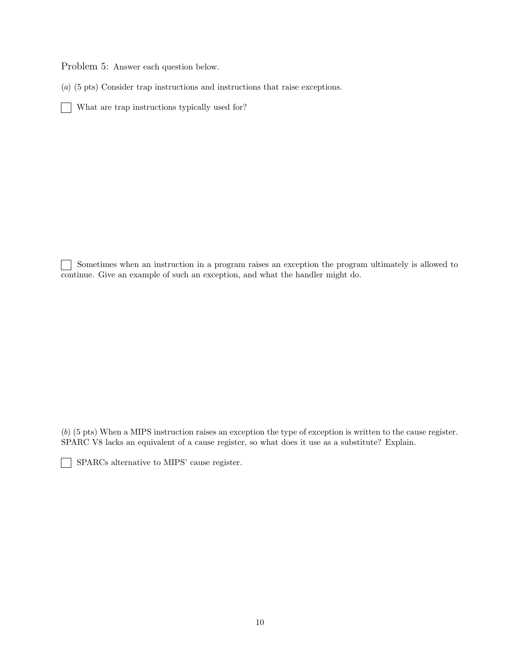Problem 5: Answer each question below.

(a) (5 pts) Consider trap instructions and instructions that raise exceptions.

What are trap instructions typically used for?

Sometimes when an instruction in a program raises an exception the program ultimately is allowed to continue. Give an example of such an exception, and what the handler might do.

(b) (5 pts) When a MIPS instruction raises an exception the type of exception is written to the cause register. SPARC V8 lacks an equivalent of a cause register, so what does it use as a substitute? Explain.

SPARCs alternative to MIPS' cause register.